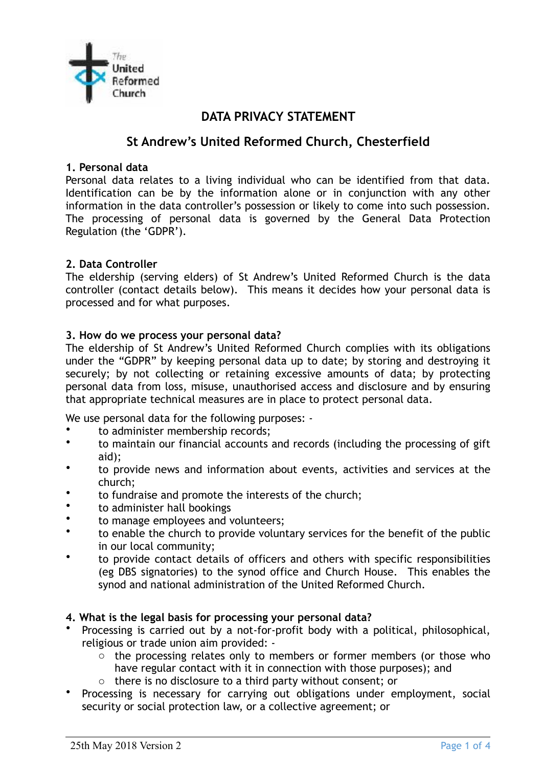

# **DATA PRIVACY STATEMENT**

# **St Andrew's United Reformed Church, Chesterfield**

### **1. Personal data**

Personal data relates to a living individual who can be identified from that data. Identification can be by the information alone or in conjunction with any other information in the data controller's possession or likely to come into such possession. The processing of personal data is governed by the General Data Protection Regulation (the 'GDPR').

### **2. Data Controller**

The eldership (serving elders) of St Andrew's United Reformed Church is the data controller (contact details below). This means it decides how your personal data is processed and for what purposes.

### **3. How do we process your personal data?**

The eldership of St Andrew's United Reformed Church complies with its obligations under the "GDPR" by keeping personal data up to date; by storing and destroying it securely; by not collecting or retaining excessive amounts of data; by protecting personal data from loss, misuse, unauthorised access and disclosure and by ensuring that appropriate technical measures are in place to protect personal data.

We use personal data for the following purposes: -

- to administer membership records;
- to maintain our financial accounts and records (including the processing of gift aid);
- to provide news and information about events, activities and services at the church;
- to fundraise and promote the interests of the church;
- to administer hall bookings
- to manage employees and volunteers;
- to enable the church to provide voluntary services for the benefit of the public in our local community;
- to provide contact details of officers and others with specific responsibilities (eg DBS signatories) to the synod office and Church House. This enables the synod and national administration of the United Reformed Church.

### **4. What is the legal basis for processing your personal data?**

- Processing is carried out by a not-for-profit body with a political, philosophical, religious or trade union aim provided:
	- o the processing relates only to members or former members (or those who have regular contact with it in connection with those purposes); and
	- o there is no disclosure to a third party without consent; or
- Processing is necessary for carrying out obligations under employment, social security or social protection law, or a collective agreement; or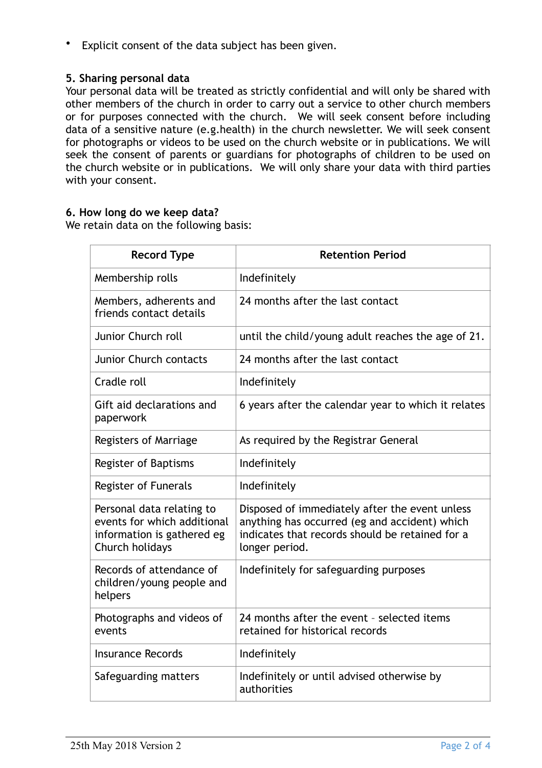Explicit consent of the data subject has been given.

# **5. Sharing personal data**

Your personal data will be treated as strictly confidential and will only be shared with other members of the church in order to carry out a service to other church members or for purposes connected with the church. We will seek consent before including data of a sensitive nature (e.g.health) in the church newsletter. We will seek consent for photographs or videos to be used on the church website or in publications. We will seek the consent of parents or guardians for photographs of children to be used on the church website or in publications. We will only share your data with third parties with your consent.

### **6. How long do we keep data?**

We retain data on the following basis:

| <b>Record Type</b>                                                                                        | <b>Retention Period</b>                                                                                                                                              |
|-----------------------------------------------------------------------------------------------------------|----------------------------------------------------------------------------------------------------------------------------------------------------------------------|
| Membership rolls                                                                                          | Indefinitely                                                                                                                                                         |
| Members, adherents and<br>friends contact details                                                         | 24 months after the last contact                                                                                                                                     |
| Junior Church roll                                                                                        | until the child/young adult reaches the age of 21.                                                                                                                   |
| <b>Junior Church contacts</b>                                                                             | 24 months after the last contact                                                                                                                                     |
| Cradle roll                                                                                               | Indefinitely                                                                                                                                                         |
| Gift aid declarations and<br>paperwork                                                                    | 6 years after the calendar year to which it relates                                                                                                                  |
| Registers of Marriage                                                                                     | As required by the Registrar General                                                                                                                                 |
| Register of Baptisms                                                                                      | Indefinitely                                                                                                                                                         |
| Register of Funerals                                                                                      | Indefinitely                                                                                                                                                         |
| Personal data relating to<br>events for which additional<br>information is gathered eg<br>Church holidays | Disposed of immediately after the event unless<br>anything has occurred (eg and accident) which<br>indicates that records should be retained for a<br>longer period. |
| Records of attendance of<br>children/young people and<br>helpers                                          | Indefinitely for safeguarding purposes                                                                                                                               |
| Photographs and videos of<br>events                                                                       | 24 months after the event - selected items<br>retained for historical records                                                                                        |
| <b>Insurance Records</b>                                                                                  | Indefinitely                                                                                                                                                         |
| Safeguarding matters                                                                                      | Indefinitely or until advised otherwise by<br>authorities                                                                                                            |